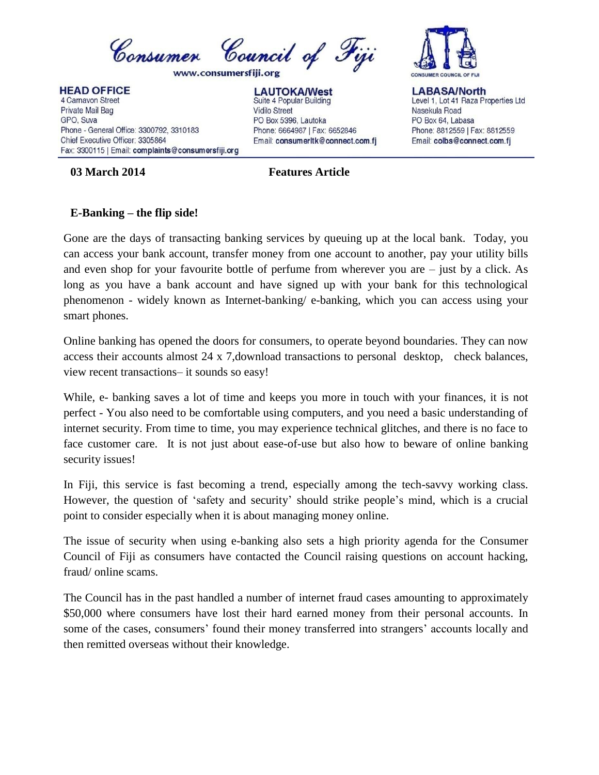

**HEAD OFFICE** 4 Carnavon Street Private Mail Bag GPO, Suva Phone - General Office: 3300792, 3310183 Chief Executive Officer: 3305864 Fax: 3300115 | Email: complaints@consumersfiji.org

**LAUTOKA/West** Suite 4 Popular Building **Vidilo Street** PO Box 5396, Lautoka Phone: 6664987 | Fax: 6652846 Email: consumerItk@connect.com.fj

**LABASA/North** Level 1, Lot 41 Raza Properties Ltd Nasekula Road PO Box 64, Labasa Phone: 8812559 | Fax: 8812559 Email: colbs@connect.com.fj

## **03 March 2014 Features Article**

## **E-Banking – the flip side!**

Gone are the days of transacting banking services by queuing up at the local bank. Today, you can access your bank account, transfer money from one account to another, pay your utility bills and even shop for your favourite bottle of perfume from wherever you are – just by a click. As long as you have a bank account and have signed up with your bank for this technological phenomenon - widely known as Internet-banking/ e-banking, which you can access using your smart phones.

Online banking has opened the doors for consumers, to operate beyond boundaries. They can now access their accounts almost 24 x 7,download transactions to personal desktop, check balances, view recent transactions– it sounds so easy!

While, e- banking saves a lot of time and keeps you more in touch with your finances, it is not perfect - You also need to be comfortable using computers, and you need a basic understanding of internet security. From time to time, you may experience technical glitches, and there is no face to face customer care. It is not just about ease-of-use but also how to beware of online banking security issues!

In Fiji, this service is fast becoming a trend, especially among the tech-savvy working class. However, the question of 'safety and security' should strike people's mind, which is a crucial point to consider especially when it is about managing money online.

The issue of security when using e-banking also sets a high priority agenda for the Consumer Council of Fiji as consumers have contacted the Council raising questions on account hacking, fraud/ online scams.

The Council has in the past handled a number of internet fraud cases amounting to approximately \$50,000 where consumers have lost their hard earned money from their personal accounts. In some of the cases, consumers' found their money transferred into strangers' accounts locally and then remitted overseas without their knowledge.